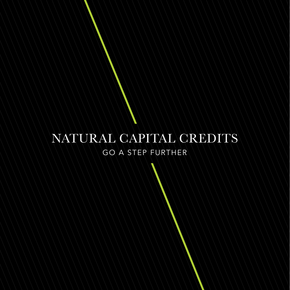# NATURAL CAPITAL CREDITS

GO A STEP FURTHER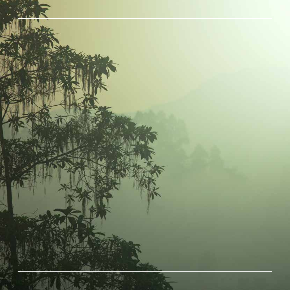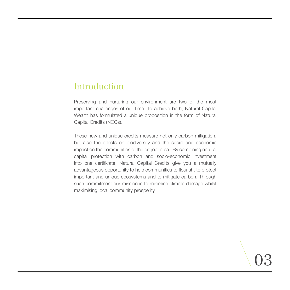#### Introduction

Preserving and nurturing our environment are two of the most important challenges of our time. To achieve both, Natural Capital Wealth has formulated a unique proposition in the form of Natural Capital Credits (NCCs).

These new and unique credits measure not only carbon mitigation, but also the effects on biodiversity and the social and economic impact on the communities of the project area. By combining natural capital protection with carbon and socio-economic investment into one certificate, Natural Capital Credits give you a mutually advantageous opportunity to help communities to flourish, to protect important and unique ecosystems and to mitigate carbon. Through such commitment our mission is to minimise climate damage whilst maximising local community prosperity.

03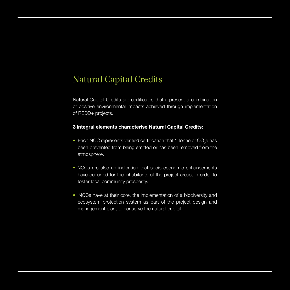### Natural Capital Credits

Natural Capital Credits are certificates that represent a combination of positive environmental impacts achieved through implementation of REDD+ projects.

#### **3 integral elements characterise Natural Capital Credits:**

- Each NCC represents verified certification that 1 tonne of  $CO<sub>2</sub>$ e has been prevented from being emitted or has been removed from the atmosphere.
- NCCs are also an indication that socio-economic enhancements have occurred for the inhabitants of the project areas, in order to foster local community prosperity.
- NCCs have at their core, the implementation of a biodiversity and ecosystem protection system as part of the project design and management plan, to conserve the natural capital.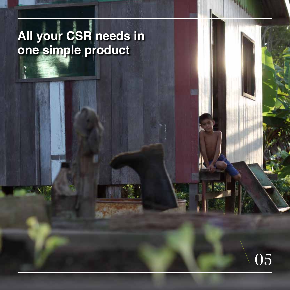# **All your CSR needs in one simple product**

05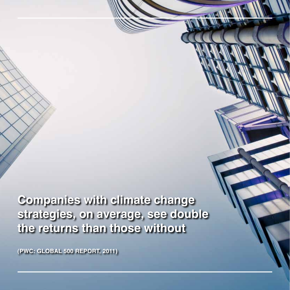**Companies with climate change strategies, on average, see double the returns than those without**

**(PWC: Global 500 Report, 2011)**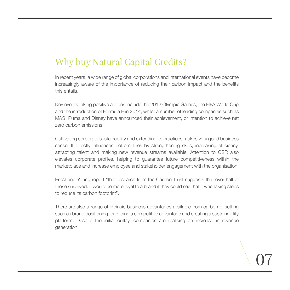### Why buy Natural Capital Credits?

In recent years, a wide range of global corporations and international events have become increasingly aware of the importance of reducing their carbon impact and the benefits this entails.

Key events taking positive actions include the 2012 Olympic Games, the FIFA World Cup and the introduction of Formula E in 2014, whilst a number of leading companies such as M&S, Puma and Disney have announced their achievement, or intention to achieve net zero carbon emissions.

Cultivating corporate sustainability and extending its practices makes very good business sense. It directly influences bottom lines by strengthening skills, increasing efficiency, attracting talent and making new revenue streams available. Attention to CSR also elevates corporate profiles, helping to guarantee future competitiveness within the marketplace and increase employee and stakeholder engagement with the organisation.

Ernst and Young report "that research from the Carbon Trust suggests that over half of those surveyed… would be more loyal to a brand if they could see that it was taking steps to reduce its carbon footprint".

There are also a range of intrinsic business advantages available from carbon offsetting such as brand positioning, providing a competitive advantage and creating a sustainability platform. Despite the initial outlay, companies are realising an increase in revenue generation.

07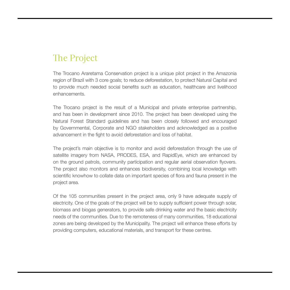### The Project

The Trocano Araretama Conservation project is a unique pilot project in the Amazonia region of Brazil with 3 core goals; to reduce deforestation, to protect Natural Capital and to provide much needed social benefits such as education, healthcare and livelihood enhancements.

The Trocano project is the result of a Municipal and private enterprise partnership, and has been in development since 2010. The project has been developed using the Natural Forest Standard guidelines and has been closely followed and encouraged by Governmental, Corporate and NGO stakeholders and acknowledged as a positive advancement in the fight to avoid deforestation and loss of habitat.

The project's main objective is to monitor and avoid deforestation through the use of satellite imagery from NASA, PRODES, ESA, and RapidEye, which are enhanced by on the ground patrols, community participation and regular aerial observation flyovers. The project also monitors and enhances biodiversity, combining local knowledge with scientific knowhow to collate data on important species of flora and fauna present in the project area.

Of the 105 communities present in the project area, only 9 have adequate supply of electricity. One of the goals of the project will be to supply sufficient power through solar, biomass and biogas generators, to provide safe drinking water and the basic electricity needs of the communities. Due to the remoteness of many communities, 18 educational zones are being developed by the Municipality. The project will enhance these efforts by providing computers, educational materials, and transport for these centres.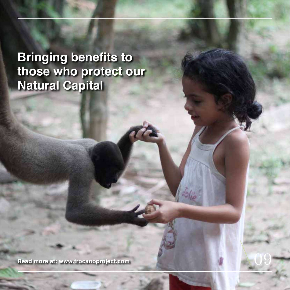# **Bringing benefits to those who protect our Natural Capital**

**Read more at: www.trocanoproject.com**

09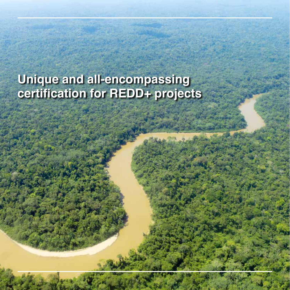# **Unique and all-encompassing certification for REDD+ projects**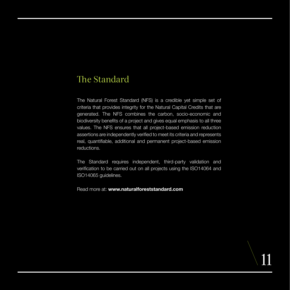### The Standard

The Natural Forest Standard (NFS) is a credible yet simple set of criteria that provides integrity for the Natural Capital Credits that are generated. The NFS combines the carbon, socio-economic and biodiversity benefits of a project and gives equal emphasis to all three values. The NFS ensures that all project-based emission reduction assertions are independently verified to meet its criteria and represents real, quantifiable, additional and permanent project-based emission reductions.

The Standard requires independent, third-party validation and verification to be carried out on all projects using the ISO14064 and ISO14065 guidelines.

Read more at: **www.naturalforeststandard.com**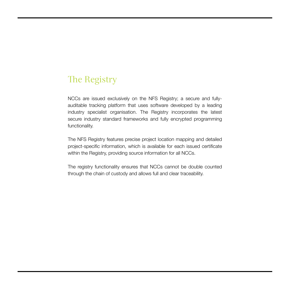#### The Registry

NCCs are issued exclusively on the NFS Registry; a secure and fullyauditable tracking platform that uses software developed by a leading industry specialist organisation. The Registry incorporates the latest secure industry standard frameworks and fully encrypted programming functionality.

The NFS Registry features precise project location mapping and detailed project-specific information, which is available for each issued certificate within the Registry, providing source information for all NCCs.

The registry functionality ensures that NCCs cannot be double counted through the chain of custody and allows full and clear traceability.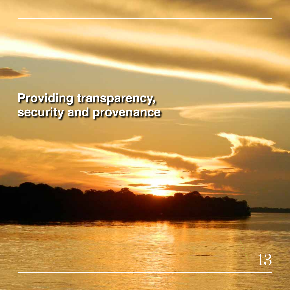**Providing transparency, security and provenance**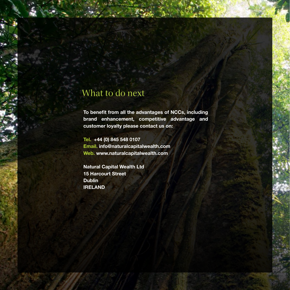## What to do next

**To benefit from all the advantages of NCCs, including brand enhancement, competitive advantage and customer loyalty please contact us on:**

**Tel. +44 (0) 845 548 0107 Email. info@naturalcapitalwealth.com Web. www.naturalcapitalwealth.com**

**Natural Capital Wealth Ltd 15 Harcourt Street Dublin IRELAND**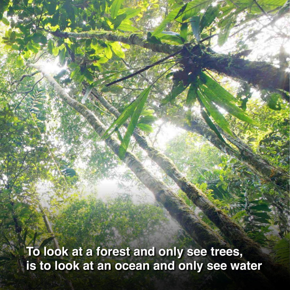**To look at a forest and only see trees, is to look at an ocean and only see water**